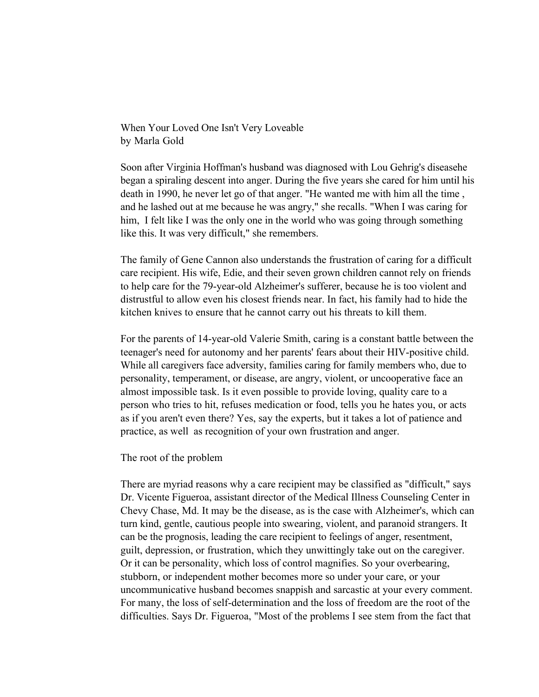When Your Loved One Isn't Very Loveable by Marla Gold

Soon after Virginia Hoffman's husband was diagnosed with Lou Gehrig's diseasehe began a spiraling descent into anger. During the five years she cared for him until his death in 1990, he never let go of that anger. "He wanted me with him all the time , and he lashed out at me because he was angry," she recalls. "When I was caring for him, I felt like I was the only one in the world who was going through something like this. It was very difficult," she remembers.

The family of Gene Cannon also understands the frustration of caring for a difficult care recipient. His wife, Edie, and their seven grown children cannot rely on friends to help care for the 79-year-old Alzheimer's sufferer, because he is too violent and distrustful to allow even his closest friends near. In fact, his family had to hide the kitchen knives to ensure that he cannot carry out his threats to kill them.

For the parents of 14-year-old Valerie Smith, caring is a constant battle between the teenager's need for autonomy and her parents' fears about their HIV-positive child. While all caregivers face adversity, families caring for family members who, due to personality, temperament, or disease, are angry, violent, or uncooperative face an almost impossible task. Is it even possible to provide loving, quality care to a person who tries to hit, refuses medication or food, tells you he hates you, or acts as if you aren't even there? Yes, say the experts, but it takes a lot of patience and practice, as well as recognition of your own frustration and anger.

The root of the problem

There are myriad reasons why a care recipient may be classified as "difficult," says Dr. Vicente Figueroa, assistant director of the Medical Illness Counseling Center in Chevy Chase, Md. It may be the disease, as is the case with Alzheimer's, which can turn kind, gentle, cautious people into swearing, violent, and paranoid strangers. It can be the prognosis, leading the care recipient to feelings of anger, resentment, guilt, depression, or frustration, which they unwittingly take out on the caregiver. Or it can be personality, which loss of control magnifies. So your overbearing, stubborn, or independent mother becomes more so under your care, or your uncommunicative husband becomes snappish and sarcastic at your every comment. For many, the loss of self-determination and the loss of freedom are the root of the difficulties. Says Dr. Figueroa, "Most of the problems I see stem from the fact that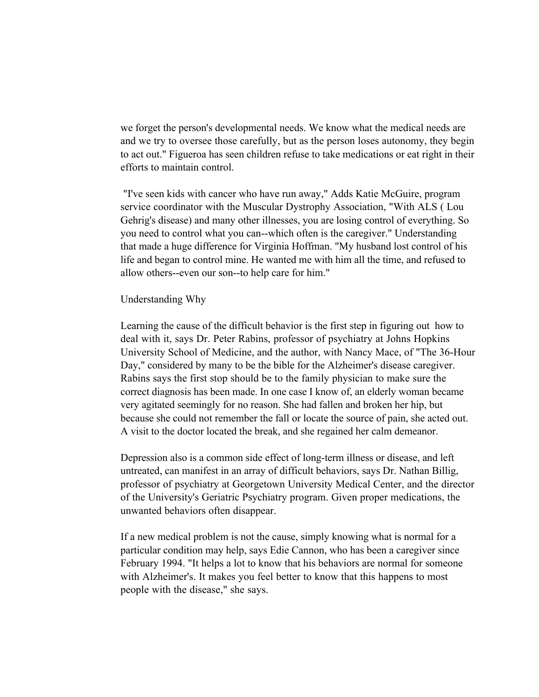we forget the person's developmental needs. We know what the medical needs are and we try to oversee those carefully, but as the person loses autonomy, they begin to act out." Figueroa has seen children refuse to take medications or eat right in their efforts to maintain control.

 "I've seen kids with cancer who have run away," Adds Katie McGuire, program service coordinator with the Muscular Dystrophy Association, "With ALS ( Lou Gehrig's disease) and many other illnesses, you are losing control of everything. So you need to control what you can--which often is the caregiver." Understanding that made a huge difference for Virginia Hoffman. "My husband lost control of his life and began to control mine. He wanted me with him all the time, and refused to allow others--even our son--to help care for him."

## Understanding Why

Learning the cause of the difficult behavior is the first step in figuring out how to deal with it, says Dr. Peter Rabins, professor of psychiatry at Johns Hopkins University School of Medicine, and the author, with Nancy Mace, of "The 36-Hour Day," considered by many to be the bible for the Alzheimer's disease caregiver. Rabins says the first stop should be to the family physician to make sure the correct diagnosis has been made. In one case I know of, an elderly woman became very agitated seemingly for no reason. She had fallen and broken her hip, but because she could not remember the fall or locate the source of pain, she acted out. A visit to the doctor located the break, and she regained her calm demeanor.

Depression also is a common side effect of long-term illness or disease, and left untreated, can manifest in an array of difficult behaviors, says Dr. Nathan Billig, professor of psychiatry at Georgetown University Medical Center, and the director of the University's Geriatric Psychiatry program. Given proper medications, the unwanted behaviors often disappear.

If a new medical problem is not the cause, simply knowing what is normal for a particular condition may help, says Edie Cannon, who has been a caregiver since February 1994. "It helps a lot to know that his behaviors are normal for someone with Alzheimer's. It makes you feel better to know that this happens to most people with the disease," she says.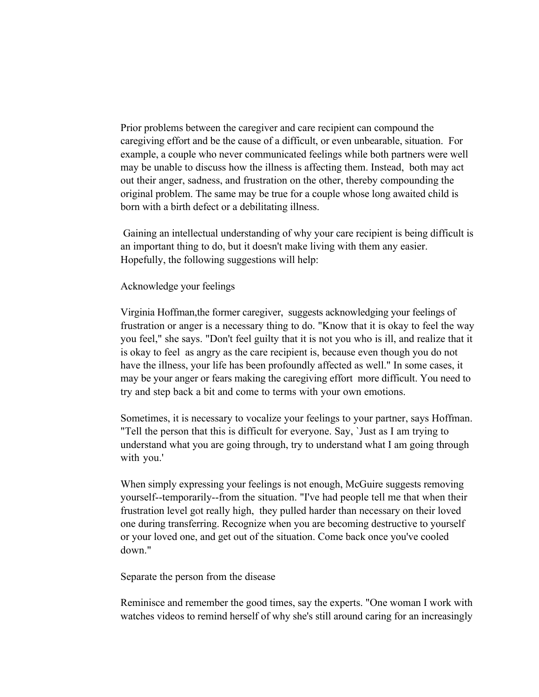Prior problems between the caregiver and care recipient can compound the caregiving effort and be the cause of a difficult, or even unbearable, situation. For example, a couple who never communicated feelings while both partners were well may be unable to discuss how the illness is affecting them. Instead, both may act out their anger, sadness, and frustration on the other, thereby compounding the original problem. The same may be true for a couple whose long awaited child is born with a birth defect or a debilitating illness.

 Gaining an intellectual understanding of why your care recipient is being difficult is an important thing to do, but it doesn't make living with them any easier. Hopefully, the following suggestions will help:

Acknowledge your feelings

Virginia Hoffman,the former caregiver, suggests acknowledging your feelings of frustration or anger is a necessary thing to do. "Know that it is okay to feel the way you feel," she says. "Don't feel guilty that it is not you who is ill, and realize that it is okay to feel as angry as the care recipient is, because even though you do not have the illness, your life has been profoundly affected as well." In some cases, it may be your anger or fears making the caregiving effort more difficult. You need to try and step back a bit and come to terms with your own emotions.

Sometimes, it is necessary to vocalize your feelings to your partner, says Hoffman. "Tell the person that this is difficult for everyone. Say, `Just as I am trying to understand what you are going through, try to understand what I am going through with you.'

When simply expressing your feelings is not enough, McGuire suggests removing yourself--temporarily--from the situation. "I've had people tell me that when their frustration level got really high, they pulled harder than necessary on their loved one during transferring. Recognize when you are becoming destructive to yourself or your loved one, and get out of the situation. Come back once you've cooled down."

Separate the person from the disease

Reminisce and remember the good times, say the experts. "One woman I work with watches videos to remind herself of why she's still around caring for an increasingly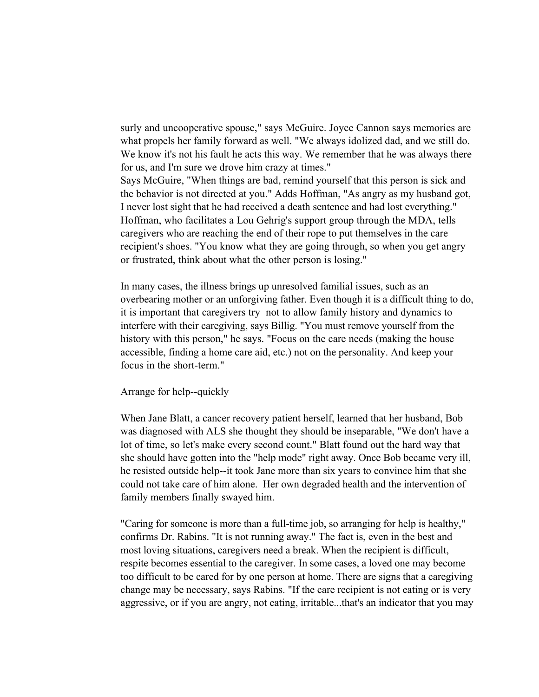surly and uncooperative spouse," says McGuire. Joyce Cannon says memories are what propels her family forward as well. "We always idolized dad, and we still do. We know it's not his fault he acts this way. We remember that he was always there for us, and I'm sure we drove him crazy at times."

Says McGuire, "When things are bad, remind yourself that this person is sick and the behavior is not directed at you." Adds Hoffman, "As angry as my husband got, I never lost sight that he had received a death sentence and had lost everything." Hoffman, who facilitates a Lou Gehrig's support group through the MDA, tells caregivers who are reaching the end of their rope to put themselves in the care recipient's shoes. "You know what they are going through, so when you get angry or frustrated, think about what the other person is losing."

In many cases, the illness brings up unresolved familial issues, such as an overbearing mother or an unforgiving father. Even though it is a difficult thing to do, it is important that caregivers try not to allow family history and dynamics to interfere with their caregiving, says Billig. "You must remove yourself from the history with this person," he says. "Focus on the care needs (making the house accessible, finding a home care aid, etc.) not on the personality. And keep your focus in the short-term."

## Arrange for help--quickly

When Jane Blatt, a cancer recovery patient herself, learned that her husband, Bob was diagnosed with ALS she thought they should be inseparable, "We don't have a lot of time, so let's make every second count." Blatt found out the hard way that she should have gotten into the "help mode" right away. Once Bob became very ill, he resisted outside help--it took Jane more than six years to convince him that she could not take care of him alone. Her own degraded health and the intervention of family members finally swayed him.

"Caring for someone is more than a full-time job, so arranging for help is healthy," confirms Dr. Rabins. "It is not running away." The fact is, even in the best and most loving situations, caregivers need a break. When the recipient is difficult, respite becomes essential to the caregiver. In some cases, a loved one may become too difficult to be cared for by one person at home. There are signs that a caregiving change may be necessary, says Rabins. "If the care recipient is not eating or is very aggressive, or if you are angry, not eating, irritable...that's an indicator that you may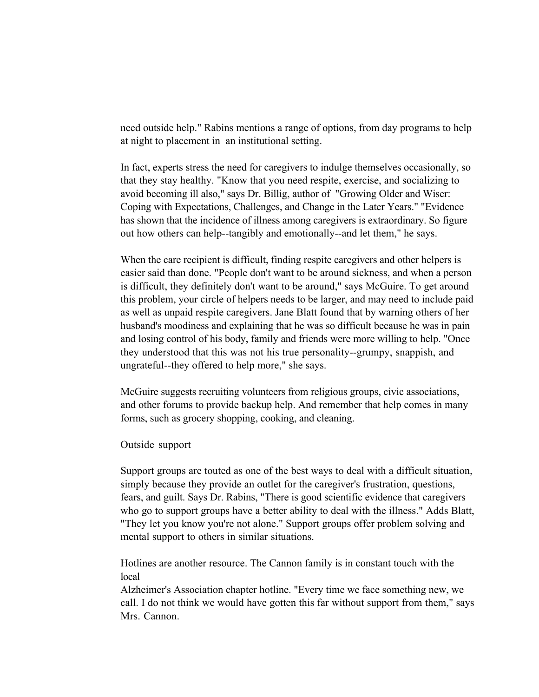need outside help." Rabins mentions a range of options, from day programs to help at night to placement in an institutional setting.

In fact, experts stress the need for caregivers to indulge themselves occasionally, so that they stay healthy. "Know that you need respite, exercise, and socializing to avoid becoming ill also," says Dr. Billig, author of "Growing Older and Wiser: Coping with Expectations, Challenges, and Change in the Later Years." "Evidence has shown that the incidence of illness among caregivers is extraordinary. So figure out how others can help--tangibly and emotionally--and let them," he says.

When the care recipient is difficult, finding respite caregivers and other helpers is easier said than done. "People don't want to be around sickness, and when a person is difficult, they definitely don't want to be around," says McGuire. To get around this problem, your circle of helpers needs to be larger, and may need to include paid as well as unpaid respite caregivers. Jane Blatt found that by warning others of her husband's moodiness and explaining that he was so difficult because he was in pain and losing control of his body, family and friends were more willing to help. "Once they understood that this was not his true personality--grumpy, snappish, and ungrateful--they offered to help more," she says.

McGuire suggests recruiting volunteers from religious groups, civic associations, and other forums to provide backup help. And remember that help comes in many forms, such as grocery shopping, cooking, and cleaning.

Outside support

Support groups are touted as one of the best ways to deal with a difficult situation, simply because they provide an outlet for the caregiver's frustration, questions, fears, and guilt. Says Dr. Rabins, "There is good scientific evidence that caregivers who go to support groups have a better ability to deal with the illness." Adds Blatt, "They let you know you're not alone." Support groups offer problem solving and mental support to others in similar situations.

Hotlines are another resource. The Cannon family is in constant touch with the local

Alzheimer's Association chapter hotline. "Every time we face something new, we call. I do not think we would have gotten this far without support from them," says Mrs. Cannon.